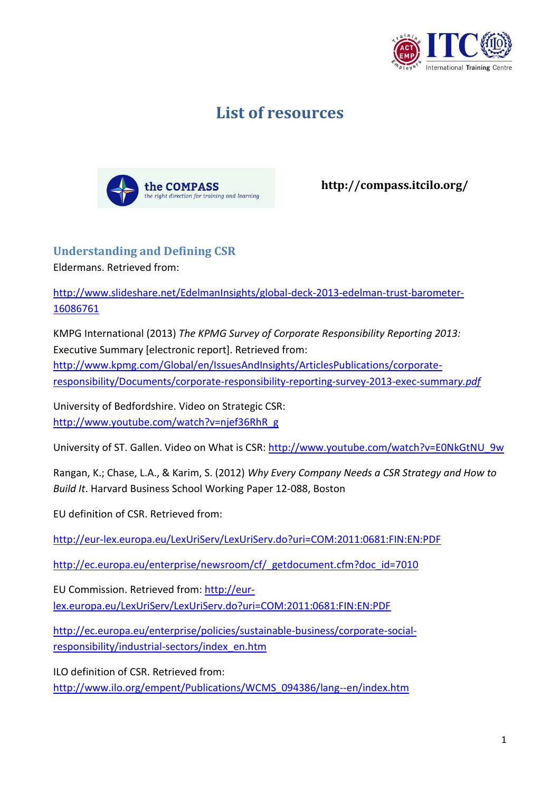

## **List of resources**



**http://compass.itcilo.org/**

## **Understanding and Defining CSR**

Eldermans. Retrieved from:

[http://www.slideshare.net/EdelmanInsights/global-deck-2013-edelman-trust-barometer-](http://www.slideshare.net/EdelmanInsights/global-deck-2013-edelman-trust-barometer-16086761)[16086761](http://www.slideshare.net/EdelmanInsights/global-deck-2013-edelman-trust-barometer-16086761)

KMPG International (2013) *The KPMG Survey of Corporate Responsibility Reporting 2013:*  Executive Summary [electronic report]. Retrieved from: [http://www.kpmg.com/Global/en/IssuesAndInsights/ArticlesPublications/corporate](http://www.kpmg.com/Global/en/IssuesAndInsights/ArticlesPublications/corporate-responsibility/Documents/corporate-responsibility-reporting-survey-2013-exec-summary.pdf)[responsibility/Documents/corporate-responsibility-reporting-survey-2013-exec-summar](http://www.kpmg.com/Global/en/IssuesAndInsights/ArticlesPublications/corporate-responsibility/Documents/corporate-responsibility-reporting-survey-2013-exec-summary.pdf)*y.pdf*

University of Bedfordshire. Video on Strategic CSR: [http://www.youtube.com/watch?v=njef36RhR\\_g](http://www.youtube.com/watch?v=njef36RhR_g)

University of ST. Gallen. Video on What is CSR: [http://www.youtube.com/watch?v=E0NkGtNU\\_9w](http://www.youtube.com/watch?v=E0NkGtNU_9w)

Rangan, K.; Chase, L.A., & Karim, S. (2012) *Why Every Company Needs a CSR Strategy and How to Build It*. Harvard Business School Working Paper 12-088, Boston

EU definition of CSR. Retrieved from:

<http://eur-lex.europa.eu/LexUriServ/LexUriServ.do?uri=COM:2011:0681:FIN:EN:PDF>

[http://ec.europa.eu/enterprise/newsroom/cf/\\_getdocument.cfm?doc\\_id=7010](http://ec.europa.eu/enterprise/newsroom/cf/_getdocument.cfm?doc_id=7010)

EU Commission. Retrieved from: [http://eur](http://eur-lex.europa.eu/LexUriServ/LexUriServ.do?uri=COM:2011:0681:FIN:EN:PDF)[lex.europa.eu/LexUriServ/LexUriServ.do?uri=COM:2011:0681:FIN:EN:PDF](http://eur-lex.europa.eu/LexUriServ/LexUriServ.do?uri=COM:2011:0681:FIN:EN:PDF)

[http://ec.europa.eu/enterprise/policies/sustainable-business/corporate-social](http://ec.europa.eu/enterprise/policies/sustainable-business/corporate-social-responsibility/industrial-sectors/index_en.htm)[responsibility/industrial-sectors/index\\_en.htm](http://ec.europa.eu/enterprise/policies/sustainable-business/corporate-social-responsibility/industrial-sectors/index_en.htm)

ILO definition of CSR. Retrieved from:

[http://www.ilo.org/empent/Publications/WCMS\\_094386/lang--en/index.htm](http://www.ilo.org/empent/Publications/WCMS_094386/lang--en/index.htm)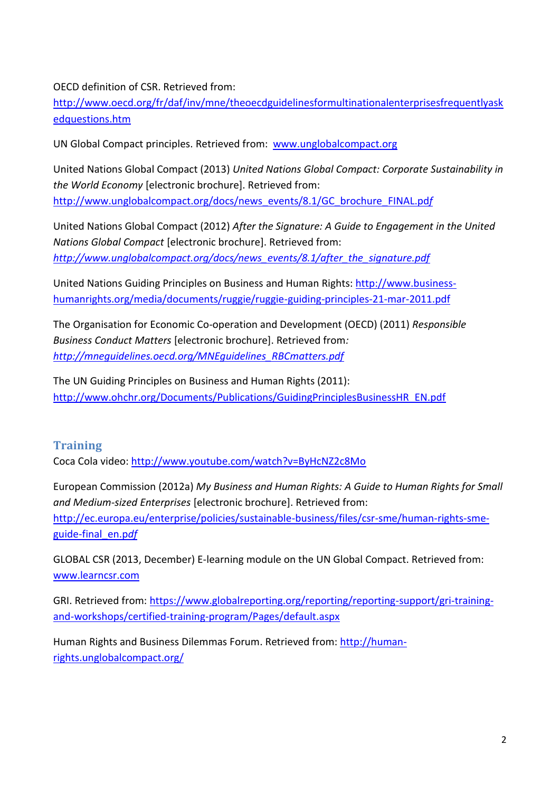OECD definition of CSR. Retrieved from:

[http://www.oecd.org/fr/daf/inv/mne/theoecdguidelinesformultinationalenterprisesfrequentlyask](http://www.oecd.org/fr/daf/inv/mne/theoecdguidelinesformultinationalenterprisesfrequentlyaskedquestions.htm) [edquestions.htm](http://www.oecd.org/fr/daf/inv/mne/theoecdguidelinesformultinationalenterprisesfrequentlyaskedquestions.htm)

UN Global Compact principles. Retrieved from: [www.unglobalcompact.org](http://www.unglobalcompact.org/)

United Nations Global Compact (2013) *United Nations Global Compact: Corporate Sustainability in the World Economy* [electronic brochure]. Retrieved from: [http://www.unglobalcompact.org/docs/news\\_events/8.1/GC\\_brochure\\_FINAL.pd](http://www.unglobalcompact.org/docs/news_events/8.1/GC_brochure_FINAL.pdf)*f*

United Nations Global Compact (2012) *After the Signature: A Guide to Engagement in the United Nations Global Compact* [electronic brochure]. Retrieved from: *[http://www.unglobalcompact.org/docs/news\\_events/8.1/after\\_the\\_signature.pdf](http://www.unglobalcompact.org/docs/news_events/8.1/after_the_signature.pdf)*

United Nations Guiding Principles on Business and Human Rights: [http://www.business](http://www.business-humanrights.org/media/documents/ruggie/ruggie-guiding-principles-21-mar-2011.pdf)[humanrights.org/media/documents/ruggie/ruggie-guiding-principles-21-mar-2011.pdf](http://www.business-humanrights.org/media/documents/ruggie/ruggie-guiding-principles-21-mar-2011.pdf)

The Organisation for Economic Co-operation and Development (OECD) (2011) *Responsible Business Conduct Matters* [electronic brochure]. Retrieved from*: [http://mneguidelines.oecd.org/MNEguidelines\\_RBCmatters.pdf](http://mneguidelines.oecd.org/MNEguidelines_RBCmatters.pdf)*

The UN Guiding Principles on Business and Human Rights (2011): [http://www.ohchr.org/Documents/Publications/GuidingPrinciplesBusinessHR\\_EN.pdf](http://www.ohchr.org/Documents/Publications/GuidingPrinciplesBusinessHR_EN.pdf)

## **Training**

Coca Cola video:<http://www.youtube.com/watch?v=ByHcNZ2c8Mo>

European Commission (2012a) *My Business and Human Rights: A Guide to Human Rights for Small and Medium-sized Enterprises* [electronic brochure]. Retrieved from: [http://ec.europa.eu/enterprise/policies/sustainable-business/files/csr-sme/human-rights-sme](http://ec.europa.eu/enterprise/policies/sustainable-business/files/csr-sme/human-rights-sme-guide-final_en.pdf)[guide-final\\_en.p](http://ec.europa.eu/enterprise/policies/sustainable-business/files/csr-sme/human-rights-sme-guide-final_en.pdf)*df*

GLOBAL CSR (2013, December) E-learning module on the UN Global Compact. Retrieved from: [www.learncsr.com](http://www.learncsr.com/)

GRI. Retrieved from: [https://www.globalreporting.org/reporting/reporting-support/gri-training](https://www.globalreporting.org/reporting/reporting-support/gri-training-and-workshops/certified-training-program/Pages/default.aspx)[and-workshops/certified-training-program/Pages/default.aspx](https://www.globalreporting.org/reporting/reporting-support/gri-training-and-workshops/certified-training-program/Pages/default.aspx)

Human Rights and Business Dilemmas Forum. Retrieved from: [http://human](http://human-rights.unglobalcompact.org/)[rights.unglobalcompact.org/](http://human-rights.unglobalcompact.org/)